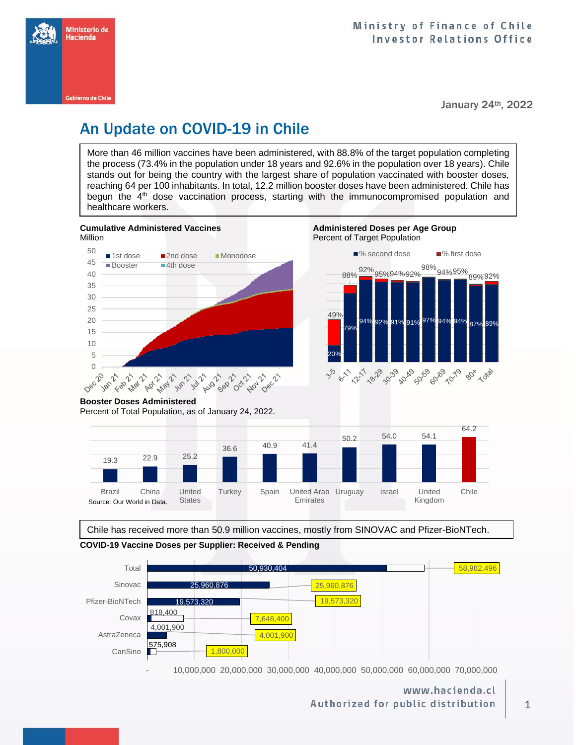

January 24th, 2022

# An Update on COVID-19 in Chile

More than 46 million vaccines have been administered, with 88.8% of the target population completing the process (73.4% in the population under 18 years and 92.6% in the population over 18 years). Chile stands out for being the country with the largest share of population vaccinated with booster doses, reaching 64 per 100 inhabitants. In total, 12.2 million booster doses have been administered. Chile has begun the 4<sup>th</sup> dose vaccination process, starting with the immunocompromised population and healthcare workers.



**Cumulative Administered Vaccines Administered Doses per Age Group** 



**Booster Doses Administered**

Percent of Total Population, as of January 24, 2022.



Chile has received more than 50.9 million vaccines, mostly from SINOVAC and Pfizer-BioNTech.





- 10,000,000 20,000,000 30,000,000 40,000,000 50,000,000 60,000,000 70,000,000

www.hacienda.cl Authorized for public distribution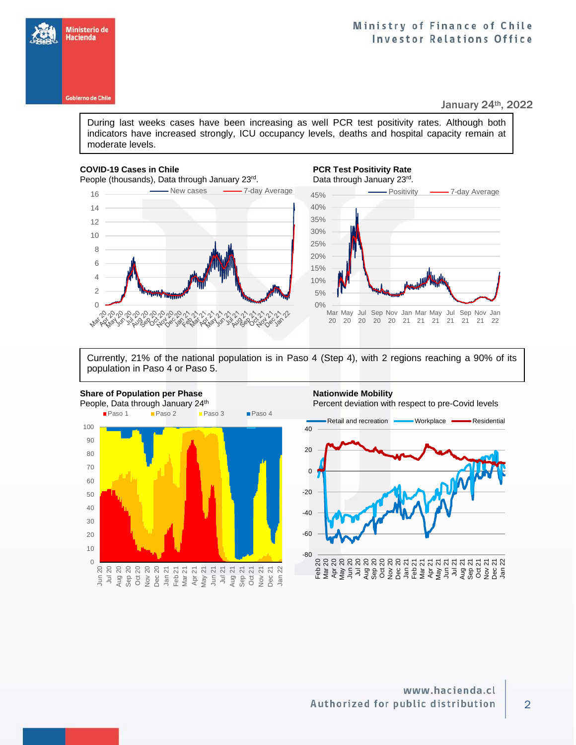

## Ministry of Finance of Chile **Investor Relations Office**

January 24th, 2022

During last weeks cases have been increasing as well PCR test positivity rates. Although both indicators have increased strongly, ICU occupancy levels, deaths and hospital capacity remain at moderate levels.

### **COVID-19 Cases in Chile PCR Test Positivity Rate**

**NO AP NO** 

People (thousands), Data through January 23rd.

16 **- Thew cases - 7-day Average** 

0<br>PPPPPPPPPPPPPPPPPPPPPP<br>0<br>0



Currently, 21% of the national population is in Paso 4 (Step 4), with 2 regions reaching a 90% of its population in Paso 4 or Paso 5.

റി

C1008